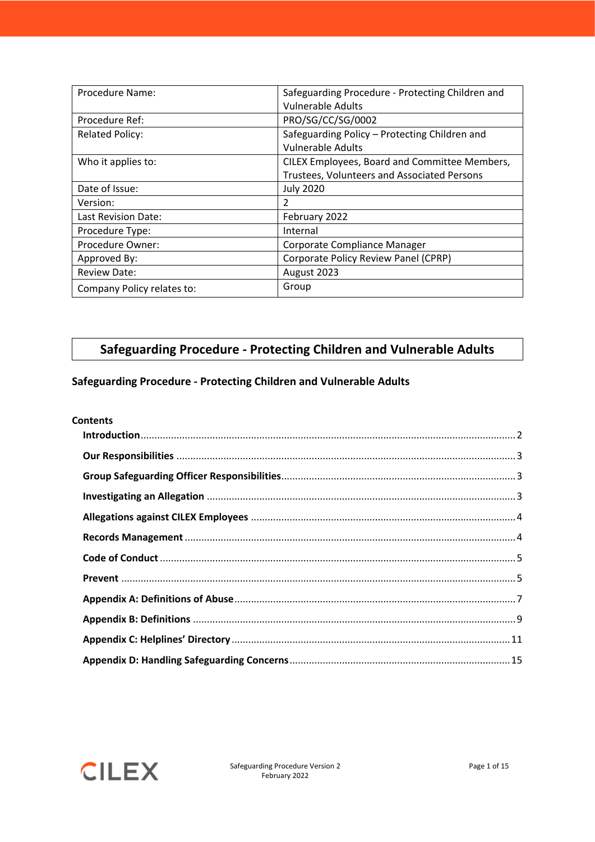| Procedure Name:            | Safeguarding Procedure - Protecting Children and<br><b>Vulnerable Adults</b>                 |
|----------------------------|----------------------------------------------------------------------------------------------|
| Procedure Ref:             | PRO/SG/CC/SG/0002                                                                            |
| <b>Related Policy:</b>     | Safeguarding Policy - Protecting Children and<br><b>Vulnerable Adults</b>                    |
| Who it applies to:         | CILEX Employees, Board and Committee Members,<br>Trustees, Volunteers and Associated Persons |
| Date of Issue:             | <b>July 2020</b>                                                                             |
| Version:                   | 2                                                                                            |
| Last Revision Date:        | February 2022                                                                                |
| Procedure Type:            | Internal                                                                                     |
| Procedure Owner:           | Corporate Compliance Manager                                                                 |
| Approved By:               | Corporate Policy Review Panel (CPRP)                                                         |
| <b>Review Date:</b>        | August 2023                                                                                  |
| Company Policy relates to: | Group                                                                                        |

# **Safeguarding Procedure - Protecting Children and Vulnerable Adults**

# **Safeguarding Procedure - Protecting Children and Vulnerable Adults**

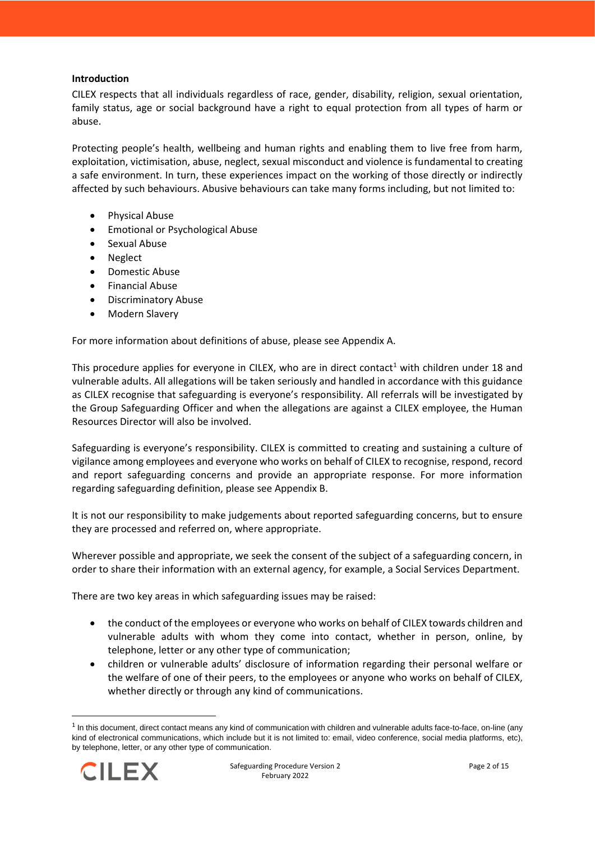## <span id="page-1-0"></span>**Introduction**

CILEX respects that all individuals regardless of race, gender, disability, religion, sexual orientation, family status, age or social background have a right to equal protection from all types of harm or abuse.

Protecting people's health, wellbeing and human rights and enabling them to live free from harm, exploitation, victimisation, abuse, neglect, sexual misconduct and violence is fundamental to creating a safe environment. In turn, these experiences impact on the working of those directly or indirectly affected by such behaviours. Abusive behaviours can take many forms including, but not limited to:

- Physical Abuse
- Emotional or Psychological Abuse
- Sexual Abuse
- **Neglect**
- Domestic Abuse
- Financial Abuse
- Discriminatory Abuse
- Modern Slavery

For more information about definitions of abuse, please see Appendix A.

This procedure applies for everyone in CILEX, who are in direct contact<sup>1</sup> with children under 18 and vulnerable adults. All allegations will be taken seriously and handled in accordance with this guidance as CILEX recognise that safeguarding is everyone's responsibility. All referrals will be investigated by the Group Safeguarding Officer and when the allegations are against a CILEX employee, the Human Resources Director will also be involved.

Safeguarding is everyone's responsibility. CILEX is committed to creating and sustaining a culture of vigilance among employees and everyone who works on behalf of CILEX to recognise, respond, record and report safeguarding concerns and provide an appropriate response. For more information regarding safeguarding definition, please see Appendix B.

It is not our responsibility to make judgements about reported safeguarding concerns, but to ensure they are processed and referred on, where appropriate.

Wherever possible and appropriate, we seek the consent of the subject of a safeguarding concern, in order to share their information with an external agency, for example, a Social Services Department.

There are two key areas in which safeguarding issues may be raised:

- the conduct of the employees or everyone who works on behalf of CILEX towards children and vulnerable adults with whom they come into contact, whether in person, online, by telephone, letter or any other type of communication;
- children or vulnerable adults' disclosure of information regarding their personal welfare or the welfare of one of their peers, to the employees or anyone who works on behalf of CILEX, whether directly or through any kind of communications.

<sup>&</sup>lt;sup>1</sup> In this document, direct contact means any kind of communication with children and vulnerable adults face-to-face, on-line (any kind of electronical communications, which include but it is not limited to: email, video conference, social media platforms, etc), by telephone, letter, or any other type of communication.

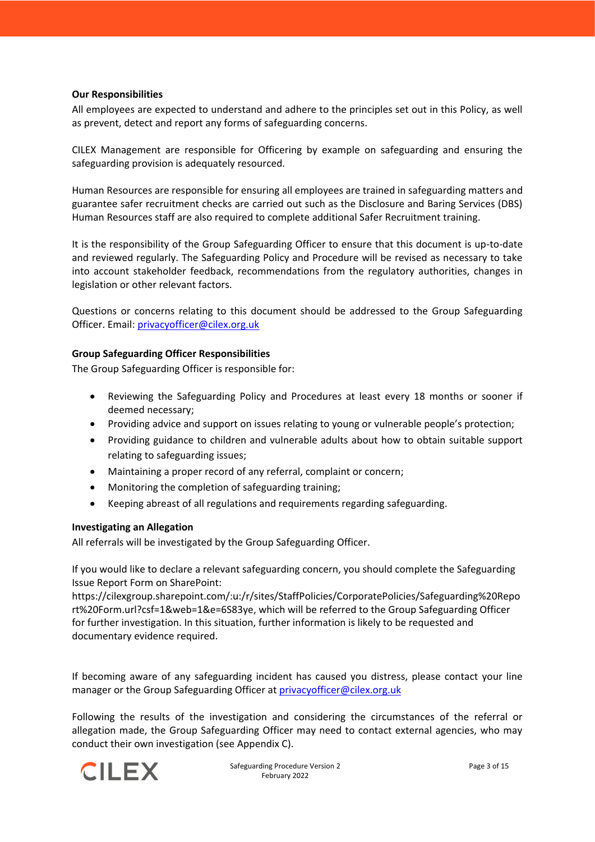## <span id="page-2-0"></span>**Our Responsibilities**

All employees are expected to understand and adhere to the principles set out in this Policy, as well as prevent, detect and report any forms of safeguarding concerns.

CILEX Management are responsible for Officering by example on safeguarding and ensuring the safeguarding provision is adequately resourced.

Human Resources are responsible for ensuring all employees are trained in safeguarding matters and guarantee safer recruitment checks are carried out such as the Disclosure and Baring Services (DBS) Human Resources staff are also required to complete additional Safer Recruitment training.

It is the responsibility of the Group Safeguarding Officer to ensure that this document is up-to-date and reviewed regularly. The Safeguarding Policy and Procedure will be revised as necessary to take into account stakeholder feedback, recommendations from the regulatory authorities, changes in legislation or other relevant factors.

Questions or concerns relating to this document should be addressed to the Group Safeguarding Officer. Email[: privacyofficer@cilex.org.uk](mailto:privacyofficer@cilex.org.uk)

## <span id="page-2-1"></span>**Group Safeguarding Officer Responsibilities**

The Group Safeguarding Officer is responsible for:

- Reviewing the Safeguarding Policy and Procedures at least every 18 months or sooner if deemed necessary;
- Providing advice and support on issues relating to young or vulnerable people's protection;
- Providing guidance to children and vulnerable adults about how to obtain suitable support relating to safeguarding issues;
- Maintaining a proper record of any referral, complaint or concern;
- Monitoring the completion of safeguarding training;
- Keeping abreast of all regulations and requirements regarding safeguarding.

## <span id="page-2-2"></span>**Investigating an Allegation**

All referrals will be investigated by the Group Safeguarding Officer.

If you would like to declare a relevant safeguarding concern, you should complete the Safeguarding Issue Report Form on SharePoint:

https://cilexgroup.sharepoint.com/:u:/r/sites/StaffPolicies/CorporatePolicies/Safeguarding%20Repo rt%20Form.url?csf=1&web=1&e=6S83ye, which will be referred to the Group Safeguarding Officer for further investigation. In this situation, further information is likely to be requested and documentary evidence required.

If becoming aware of any safeguarding incident has caused you distress, please contact your line manager or the Group Safeguarding Officer a[t privacyofficer@cilex.org.uk](mailto:privacyofficer@cilex.org.uk)

Following the results of the investigation and considering the circumstances of the referral or allegation made, the Group Safeguarding Officer may need to contact external agencies, who may conduct their own investigation (see Appendix C).

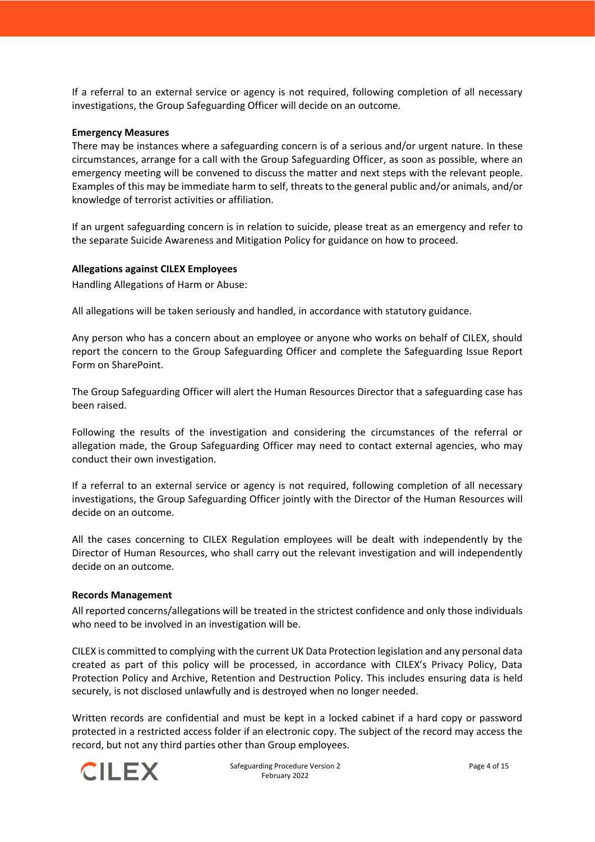If a referral to an external service or agency is not required, following completion of all necessary investigations, the Group Safeguarding Officer will decide on an outcome.

### **Emergency Measures**

There may be instances where a safeguarding concern is of a serious and/or urgent nature. In these circumstances, arrange for a call with the Group Safeguarding Officer, as soon as possible, where an emergency meeting will be convened to discuss the matter and next steps with the relevant people. Examples of this may be immediate harm to self, threats to the general public and/or animals, and/or knowledge of terrorist activities or affiliation.

If an urgent safeguarding concern is in relation to suicide, please treat as an emergency and refer to the separate Suicide Awareness and Mitigation Policy for guidance on how to proceed.

#### <span id="page-3-0"></span>**Allegations against CILEX Employees**

Handling Allegations of Harm or Abuse:

All allegations will be taken seriously and handled, in accordance with statutory guidance.

Any person who has a concern about an employee or anyone who works on behalf of CILEX, should report the concern to the Group Safeguarding Officer and complete the Safeguarding Issue Report Form on SharePoint.

The Group Safeguarding Officer will alert the Human Resources Director that a safeguarding case has been raised.

Following the results of the investigation and considering the circumstances of the referral or allegation made, the Group Safeguarding Officer may need to contact external agencies, who may conduct their own investigation.

If a referral to an external service or agency is not required, following completion of all necessary investigations, the Group Safeguarding Officer jointly with the Director of the Human Resources will decide on an outcome.

All the cases concerning to CILEX Regulation employees will be dealt with independently by the Director of Human Resources, who shall carry out the relevant investigation and will independently decide on an outcome.

#### <span id="page-3-1"></span>**Records Management**

All reported concerns/allegations will be treated in the strictest confidence and only those individuals who need to be involved in an investigation will be.

CILEX is committed to complying with the current UK Data Protection legislation and any personal data created as part of this policy will be processed, in accordance with CILEX's Privacy Policy, Data Protection Policy and Archive, Retention and Destruction Policy. This includes ensuring data is held securely, is not disclosed unlawfully and is destroyed when no longer needed.

Written records are confidential and must be kept in a locked cabinet if a hard copy or password protected in a restricted access folder if an electronic copy. The subject of the record may access the record, but not any third parties other than Group employees.

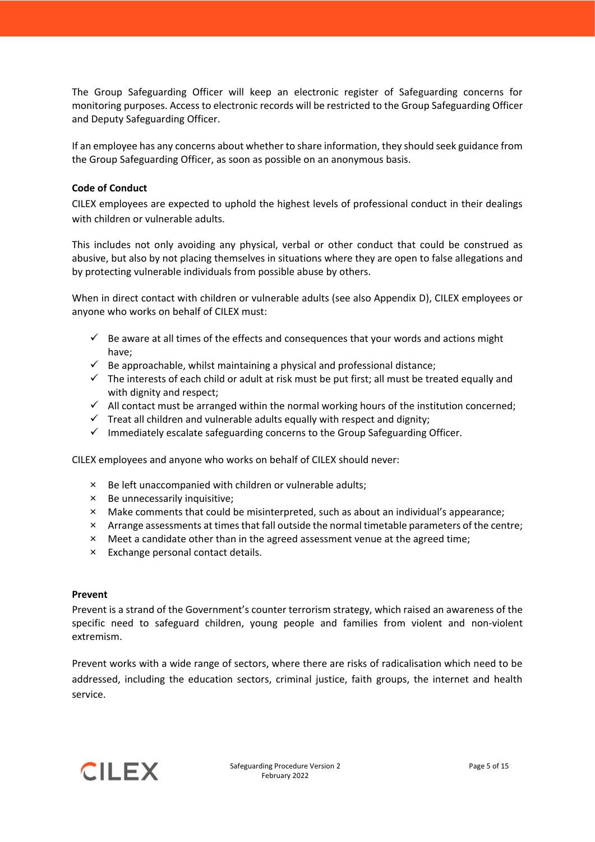The Group Safeguarding Officer will keep an electronic register of Safeguarding concerns for monitoring purposes. Access to electronic records will be restricted to the Group Safeguarding Officer and Deputy Safeguarding Officer.

If an employee has any concerns about whether to share information, they should seek guidance from the Group Safeguarding Officer, as soon as possible on an anonymous basis.

## <span id="page-4-0"></span>**Code of Conduct**

CILEX employees are expected to uphold the highest levels of professional conduct in their dealings with children or vulnerable adults.

This includes not only avoiding any physical, verbal or other conduct that could be construed as abusive, but also by not placing themselves in situations where they are open to false allegations and by protecting vulnerable individuals from possible abuse by others.

When in direct contact with children or vulnerable adults (see also Appendix D), CILEX employees or anyone who works on behalf of CILEX must:

- $\checkmark$  Be aware at all times of the effects and consequences that your words and actions might have;
- $\checkmark$  Be approachable, whilst maintaining a physical and professional distance;
- $\checkmark$  The interests of each child or adult at risk must be put first; all must be treated equally and with dignity and respect;
- $\checkmark$  All contact must be arranged within the normal working hours of the institution concerned;
- $\checkmark$  Treat all children and vulnerable adults equally with respect and dignity;
- $\checkmark$  Immediately escalate safeguarding concerns to the Group Safeguarding Officer.

CILEX employees and anyone who works on behalf of CILEX should never:

- × Be left unaccompanied with children or vulnerable adults;
- × Be unnecessarily inquisitive;
- × Make comments that could be misinterpreted, such as about an individual's appearance;
- × Arrange assessments at times that fall outside the normal timetable parameters of the centre;
- × Meet a candidate other than in the agreed assessment venue at the agreed time;
- × Exchange personal contact details.

## <span id="page-4-1"></span>**Prevent**

Prevent is a strand of the Government's counter terrorism strategy, which raised an awareness of the specific need to safeguard children, young people and families from violent and non-violent extremism.

Prevent works with a wide range of sectors, where there are risks of radicalisation which need to be addressed, including the education sectors, criminal justice, faith groups, the internet and health service.

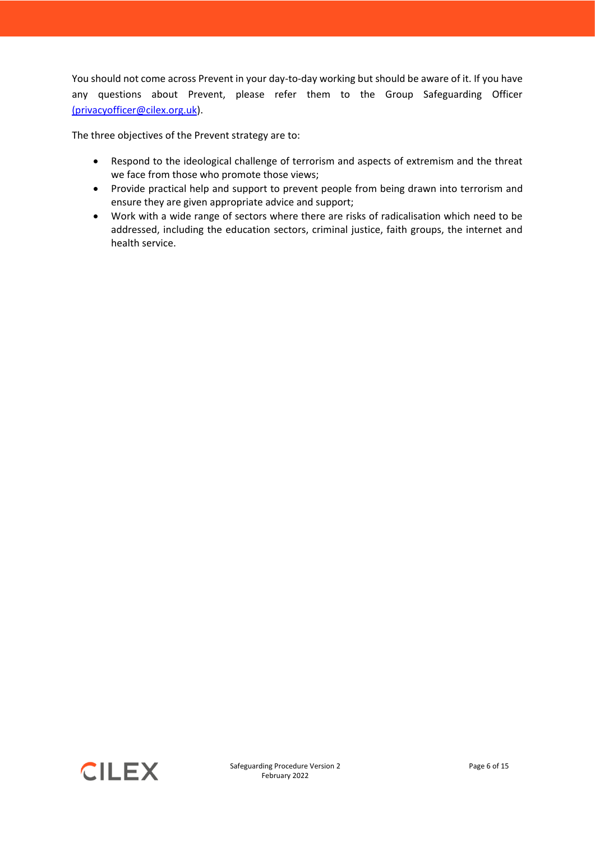You should not come across Prevent in your day-to-day working but should be aware of it. If you have any questions about Prevent, please refer them to the Group Safeguarding Officer [\(privacyofficer@cilex.org.uk\)](mailto:(privacyofficer@cilex.org.uk).

The three objectives of the Prevent strategy are to:

- Respond to the ideological challenge of terrorism and aspects of extremism and the threat we face from those who promote those views;
- Provide practical help and support to prevent people from being drawn into terrorism and ensure they are given appropriate advice and support;
- Work with a wide range of sectors where there are risks of radicalisation which need to be addressed, including the education sectors, criminal justice, faith groups, the internet and health service.

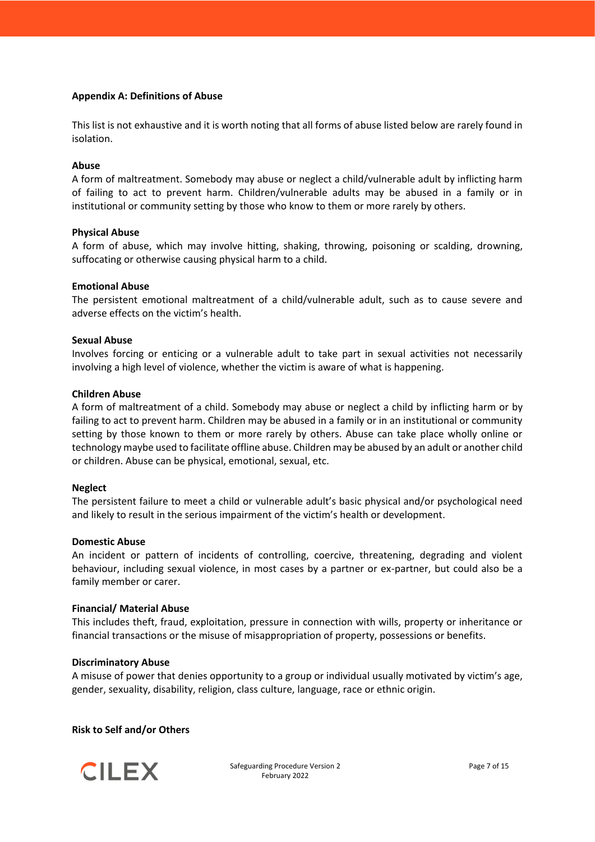## <span id="page-6-0"></span>**Appendix A: Definitions of Abuse**

This list is not exhaustive and it is worth noting that all forms of abuse listed below are rarely found in isolation.

#### **Abuse**

A form of maltreatment. Somebody may abuse or neglect a child/vulnerable adult by inflicting harm of failing to act to prevent harm. Children/vulnerable adults may be abused in a family or in institutional or community setting by those who know to them or more rarely by others.

#### **Physical Abuse**

A form of abuse, which may involve hitting, shaking, throwing, poisoning or scalding, drowning, suffocating or otherwise causing physical harm to a child.

#### **Emotional Abuse**

The persistent emotional maltreatment of a child/vulnerable adult, such as to cause severe and adverse effects on the victim's health.

#### **Sexual Abuse**

Involves forcing or enticing or a vulnerable adult to take part in sexual activities not necessarily involving a high level of violence, whether the victim is aware of what is happening.

#### **Children Abuse**

A form of maltreatment of a child. Somebody may abuse or neglect a child by inflicting harm or by failing to act to prevent harm. Children may be abused in a family or in an institutional or community setting by those known to them or more rarely by others. Abuse can take place wholly online or technology maybe used to facilitate offline abuse. Children may be abused by an adult or another child or children. Abuse can be physical, emotional, sexual, etc.

#### **Neglect**

The persistent failure to meet a child or vulnerable adult's basic physical and/or psychological need and likely to result in the serious impairment of the victim's health or development.

#### **Domestic Abuse**

An incident or pattern of incidents of controlling, coercive, threatening, degrading and violent behaviour, including sexual violence, in most cases by a partner or ex-partner, but could also be a family member or carer.

#### **Financial/ Material Abuse**

This includes theft, fraud, exploitation, pressure in connection with wills, property or inheritance or financial transactions or the misuse of misappropriation of property, possessions or benefits.

#### **Discriminatory Abuse**

A misuse of power that denies opportunity to a group or individual usually motivated by victim's age, gender, sexuality, disability, religion, class culture, language, race or ethnic origin.

#### **Risk to Self and/or Others**

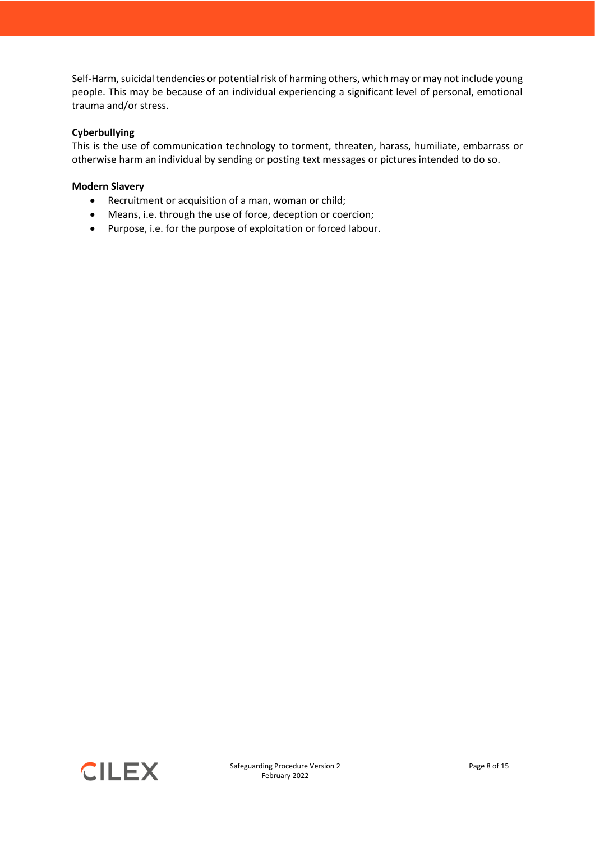Self-Harm, suicidal tendencies or potential risk of harming others, which may or may not include young people. This may be because of an individual experiencing a significant level of personal, emotional trauma and/or stress.

## **Cyberbullying**

This is the use of communication technology to torment, threaten, harass, humiliate, embarrass or otherwise harm an individual by sending or posting text messages or pictures intended to do so.

## **Modern Slavery**

- Recruitment or acquisition of a man, woman or child;
- Means, i.e. through the use of force, deception or coercion;
- Purpose, i.e. for the purpose of exploitation or forced labour.

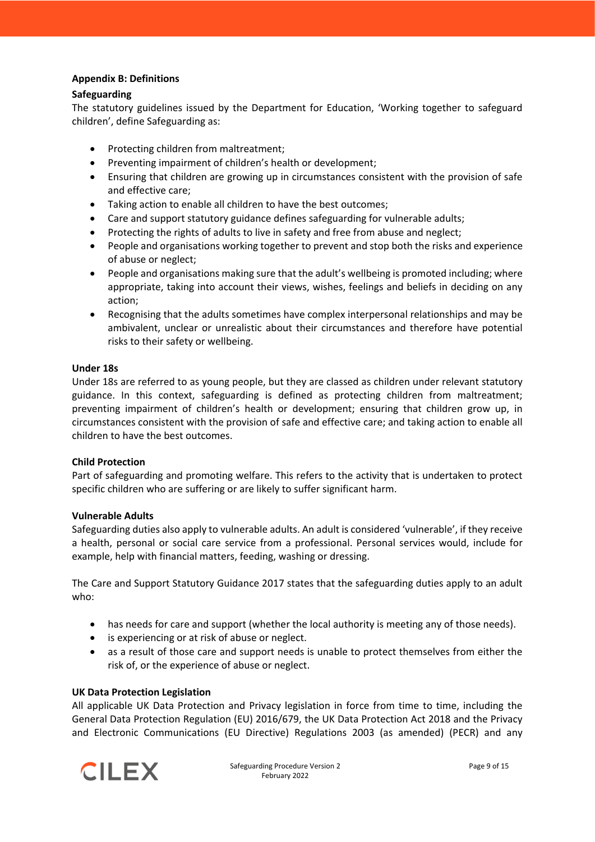## <span id="page-8-0"></span>**Appendix B: Definitions**

## **Safeguarding**

The statutory guidelines issued by the Department for Education, 'Working together to safeguard children', define Safeguarding as:

- Protecting children from maltreatment;
- Preventing impairment of children's health or development;
- Ensuring that children are growing up in circumstances consistent with the provision of safe and effective care;
- Taking action to enable all children to have the best outcomes;
- Care and support statutory guidance defines safeguarding for vulnerable adults;
- Protecting the rights of adults to live in safety and free from abuse and neglect;
- People and organisations working together to prevent and stop both the risks and experience of abuse or neglect;
- People and organisations making sure that the adult's wellbeing is promoted including; where appropriate, taking into account their views, wishes, feelings and beliefs in deciding on any action;
- Recognising that the adults sometimes have complex interpersonal relationships and may be ambivalent, unclear or unrealistic about their circumstances and therefore have potential risks to their safety or wellbeing.

## **Under 18s**

Under 18s are referred to as young people, but they are classed as children under relevant statutory guidance. In this context, safeguarding is defined as protecting children from maltreatment; preventing impairment of children's health or development; ensuring that children grow up, in circumstances consistent with the provision of safe and effective care; and taking action to enable all children to have the best outcomes.

## **Child Protection**

Part of safeguarding and promoting welfare. This refers to the activity that is undertaken to protect specific children who are suffering or are likely to suffer significant harm.

## **Vulnerable Adults**

Safeguarding duties also apply to vulnerable adults. An adult is considered 'vulnerable', if they receive a health, personal or social care service from a professional. Personal services would, include for example, help with financial matters, feeding, washing or dressing.

The Care and Support Statutory Guidance 2017 states that the safeguarding duties apply to an adult who:

- has needs for care and support (whether the local authority is meeting any of those needs).
- is experiencing or at risk of abuse or neglect.
- as a result of those care and support needs is unable to protect themselves from either the risk of, or the experience of abuse or neglect.

## **UK Data Protection Legislation**

All applicable UK Data Protection and Privacy legislation in force from time to time, including the General Data Protection Regulation (EU) 2016/679, the UK Data Protection Act 2018 and the Privacy and Electronic Communications (EU Directive) Regulations 2003 (as amended) (PECR) and any

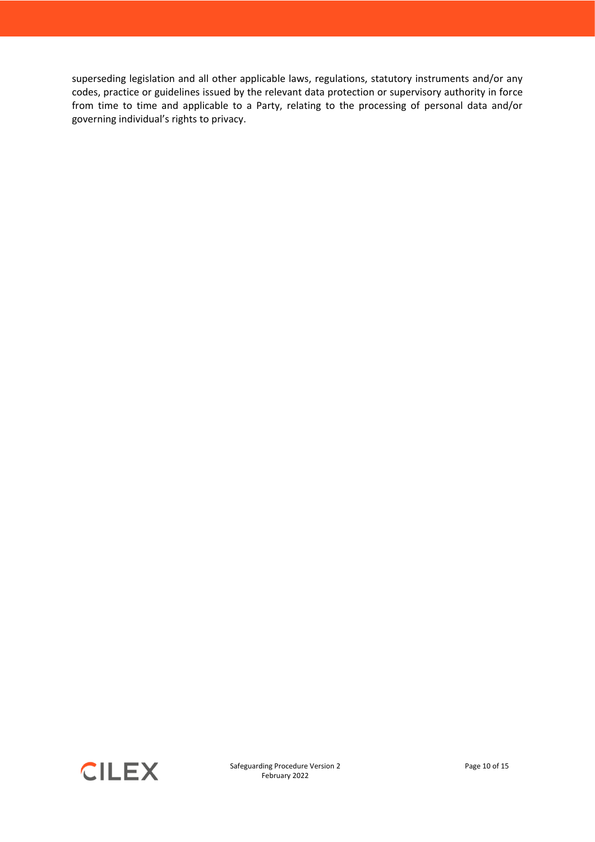superseding legislation and all other applicable laws, regulations, statutory instruments and/or any codes, practice or guidelines issued by the relevant data protection or supervisory authority in force from time to time and applicable to a Party, relating to the processing of personal data and/or governing individual's rights to privacy.

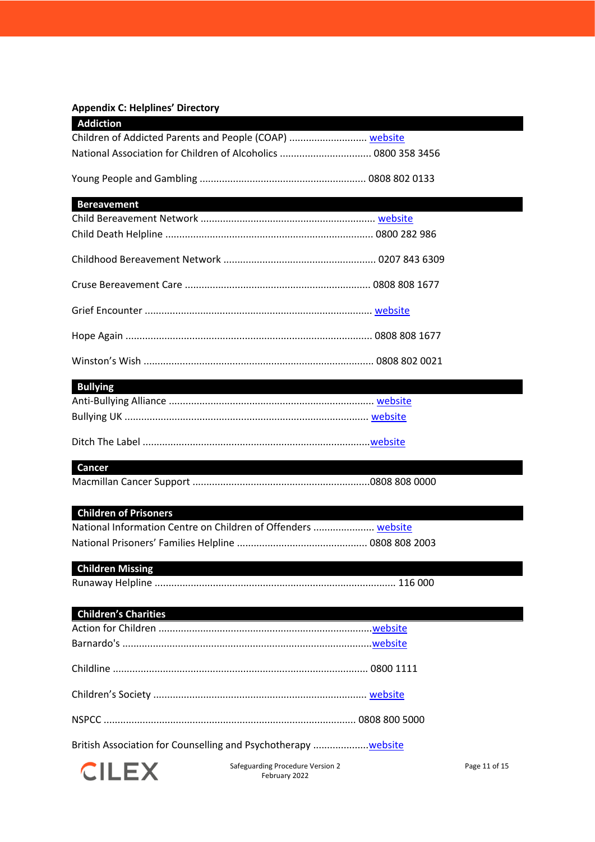## <span id="page-10-0"></span>**Appendix C: Helplines' Directory**

| <b>Addiction</b>                                               |  |
|----------------------------------------------------------------|--|
|                                                                |  |
| National Association for Children of Alcoholics  0800 358 3456 |  |
|                                                                |  |
| <b>Bereavement</b>                                             |  |
|                                                                |  |
|                                                                |  |
|                                                                |  |
|                                                                |  |
|                                                                |  |
|                                                                |  |
|                                                                |  |
| <b>Bullying</b>                                                |  |

| _______ |  |
|---------|--|
|         |  |
|         |  |
|         |  |

## **Cancer**

Macmillan Cancer Support ................................................................0808 808 0000

## **Children of Prisoners**

| National Information Centre on Children of Offenders  website |  |
|---------------------------------------------------------------|--|
|                                                               |  |

## **Children Missing**

Runaway Helpline ....................................................................................... 116 000

| <b>Children's Charities</b>                                   |  |
|---------------------------------------------------------------|--|
|                                                               |  |
|                                                               |  |
|                                                               |  |
|                                                               |  |
|                                                               |  |
| British Association for Counselling and Psychotherapy website |  |



Safeguarding Procedure Version 2 February 2022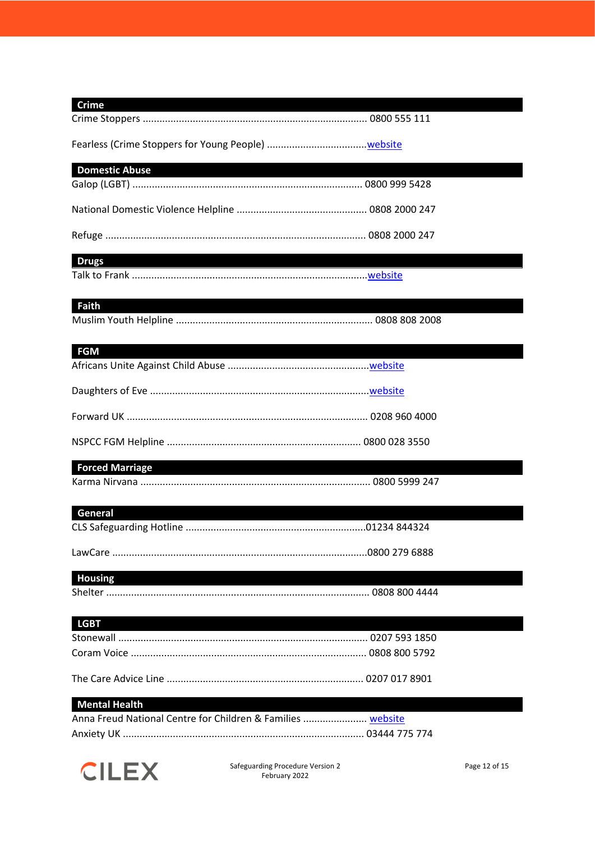| <b>Crime</b>                                                |  |
|-------------------------------------------------------------|--|
|                                                             |  |
| <b>Domestic Abuse</b>                                       |  |
|                                                             |  |
|                                                             |  |
|                                                             |  |
| <b>Drugs</b>                                                |  |
|                                                             |  |
| <b>Faith</b>                                                |  |
|                                                             |  |
| <b>FGM</b>                                                  |  |
|                                                             |  |
|                                                             |  |
|                                                             |  |
|                                                             |  |
| <b>Forced Marriage</b>                                      |  |
|                                                             |  |
| General                                                     |  |
|                                                             |  |
|                                                             |  |
| <b>Housing</b>                                              |  |
|                                                             |  |
| <b>LGBT</b>                                                 |  |
|                                                             |  |
|                                                             |  |
|                                                             |  |
| <b>Mental Health</b>                                        |  |
| Anna Freud National Centre for Children & Families  website |  |
|                                                             |  |

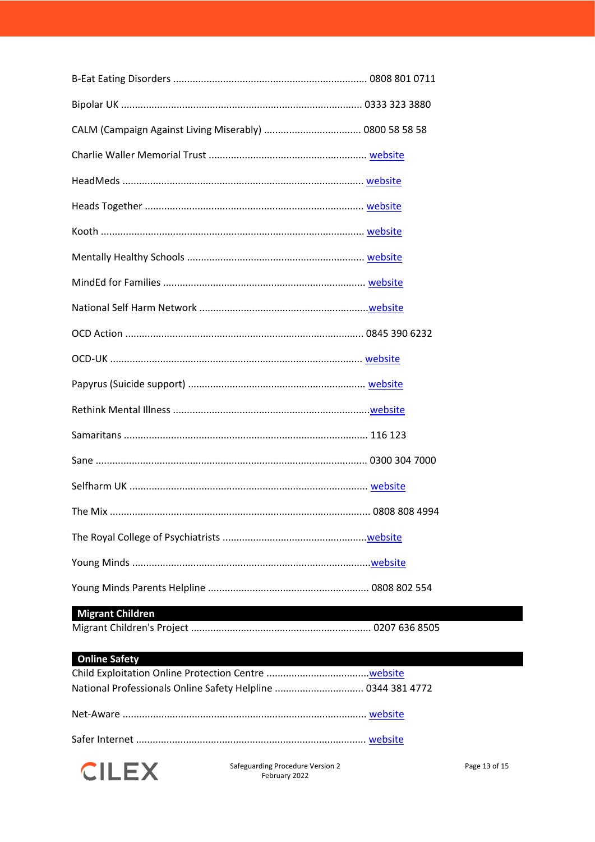# **Migrant Children**

## **Online Safety**

| National Professionals Online Safety Helpline  0344 381 4772 |  |
|--------------------------------------------------------------|--|
|                                                              |  |
|                                                              |  |
|                                                              |  |



Safeguarding Procedure Version 2 February 2022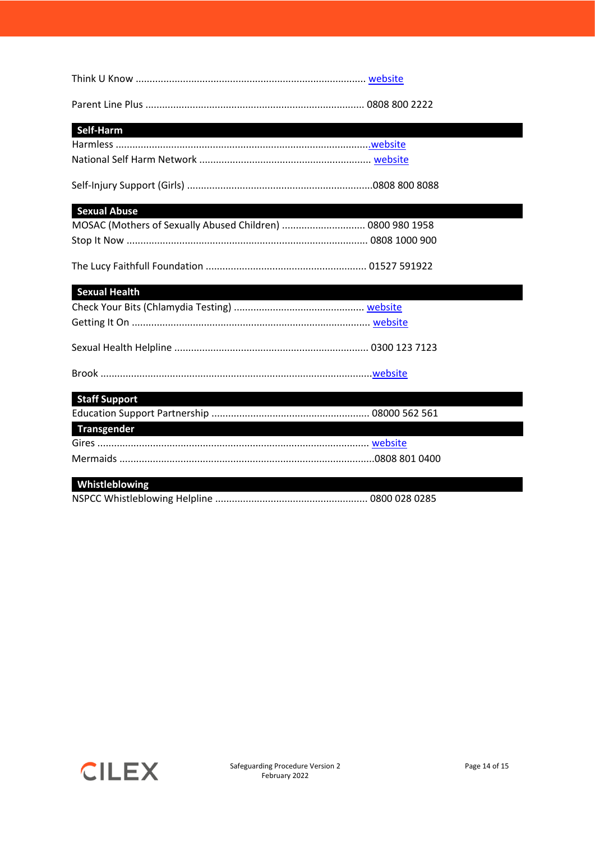| Self-Harm                                                  |  |
|------------------------------------------------------------|--|
|                                                            |  |
|                                                            |  |
|                                                            |  |
| <b>Sexual Abuse</b>                                        |  |
| MOSAC (Mothers of Sexually Abused Children)  0800 980 1958 |  |
|                                                            |  |
|                                                            |  |
| <b>Sexual Health</b>                                       |  |
|                                                            |  |
|                                                            |  |
|                                                            |  |
|                                                            |  |
| <b>Staff Support</b>                                       |  |
|                                                            |  |
| Transgender                                                |  |
|                                                            |  |
|                                                            |  |
| Whistleblowing                                             |  |

NSPCC Whistleblowing Helpline ....................................................... 0800 028 0285